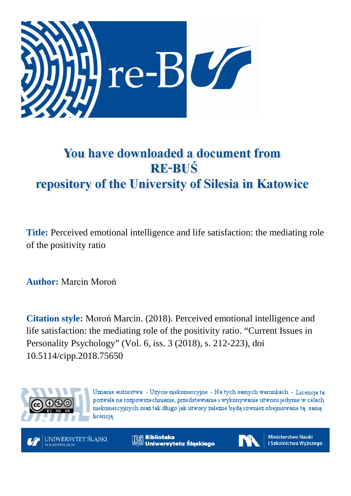

# You have downloaded a document from **RE-BUŚ** repository of the University of Silesia in Katowice

**Title:** Perceived emotional intelligence and life satisfaction: the mediating role of the positivity ratio

**Author:** Marcin Moroń

**Citation style:** Moroń Marcin. (2018). Perceived emotional intelligence and life satisfaction: the mediating role of the positivity ratio. "Current Issues in Personality Psychology" (Vol. 6, iss. 3 (2018), s. 212-223), doi 10.5114/cipp.2018.75650



Uznanie autorstwa - Użycie niekomercyjne - Na tych samych warunkach - Licencja ta pozwala na rozpowszechnianie, przedstawianie i wykonywanie utworu jedynie w celach niekomercyjnych oraz tak długo jak utwory zależne będą również obejmowane tą samą licencia.



**Biblioteka** Uniwersytetu Śląskiego



**Ministerstwo Nauki** i Szkolnictwa Wyższego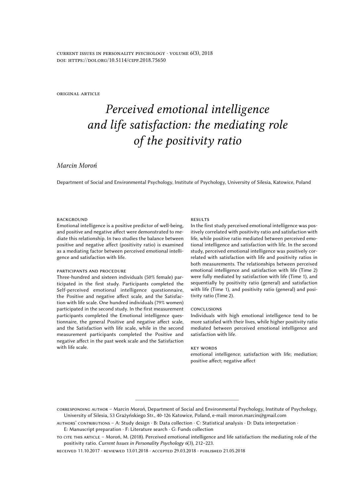*current issues in personality psychology · volume 6(3), 2018 doi: https://doi.org/10.5114/cipp.2018.75650*

*original article*

## *Perceived emotional intelligence and life satisfaction: the mediating role of the positivity ratio*

## *Marcin Moroń*

Department of Social and Environmental Psychology, Institute of Psychology, University of Silesia, Katowice, Poland

#### *background*

Emotional intelligence is a positive predictor of well-being, and positive and negative affect were demonstrated to mediate this relationship. In two studies the balance between positive and negative affect (positivity ratio) is examined as a mediating factor between perceived emotional intelligence and satisfaction with life.

#### *participants and procedure*

Three-hundred and sixteen individuals (50% female) participated in the first study. Participants completed the Self-perceived emotional intelligence questionnaire, the Positive and negative affect scale, and the Satisfaction with life scale. One hundred individuals (79% women) participated in the second study. In the first measurement participants completed the Emotional intelligence questionnaire, the general Positive and negative affect scale, and the Satisfaction with life scale, while in the second measurement participants completed the Positive and negative affect in the past week scale and the Satisfaction with life scale.

#### *results*

In the first study perceived emotional intelligence was positively correlated with positivity ratio and satisfaction with life, while positive ratio mediated between perceived emotional intelligence and satisfaction with life. In the second study, perceived emotional intelligence was positively correlated with satisfaction with life and positivity ratios in both measurements. The relationships between perceived emotional intelligence and satisfaction with life (Time 2) were fully mediated by satisfaction with life (Time 1), and sequentially by positivity ratio (general) and satisfaction with life (Time 1), and positivity ratio (general) and positivity ratio (Time 2).

#### *conclusions*

Individuals with high emotional intelligence tend to be more satisfied with their lives, while higher positivity ratio mediated between perceived emotional intelligence and satisfaction with life.

#### *key words*

emotional intelligence; satisfaction with life; mediation; positive affect; negative affect

*corresponding author* – Marcin Moroń, Department of Social and Environmental Psychology, Institute of Psychology, University of Silesia, 53 Grażyńskiego Str., 40-126 Katowice, Poland, e-mail: moron.marcin@gmail.com

*authors' contributions* – A: Study design · B: Data collection · C: Statistical analysis · D: Data interpretation · E: Manuscript preparation · F: Literature search · G: Funds collection

*to cite this article* – Moroń, M. (2018). Perceived emotional intelligence and life satisfaction: the mediating role of the positivity ratio. *Current Issues in Personality Psychology 6*(3), 212–223.

*received* 11.10.2017 · *reviewed* 13.01.2018 · *accepted* 29.03.2018 · *published* 21.05.2018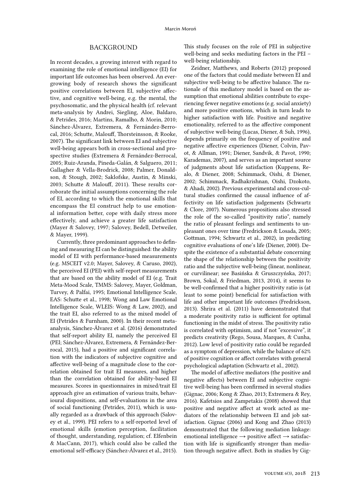## *Background*

In recent decades, a growing interest with regard to examining the role of emotional intelligence (EI) for important life outcomes has been observed. An evergrowing body of research shows the significant positive correlations between EI, subjective affective, and cognitive well-being, e.g. the mental, the psychosomatic, and the physical health (cf. relevant meta-analysis by Andrei, Siegling, Aloe, Baldaro, & Petrides, 2016; Martins, Ramalho, & Morin, 2010; Sánchez-Álvarez, Extremera, & Fernández-Berrocal, 2016; Schutte, Malouff, Thorsteinsson, & Rooke, 2007). The significant link between EI and subjective well-being appears both in cross-sectional and prospective studies (Extremera & Fernández-Berrocal, 2005; Ruiz-Aranda, Pineda-Galán, & Salguero, 2011; Gallagher & Vella-Brodrick, 2008; Palmer, Donaldson, & Stough, 2002; Saklofske, Austin, & Minski, 2003; Schutte & Malouff, 2011). These results corroborate the initial assumptions concerning the role of EI, according to which the emotional skills that encompass the EI construct help to use emotional information better, cope with daily stress more effectively, and achieve a greater life satisfaction (Mayer & Salovey, 1997; Salovey, Bedell, Detweiler, & Mayer, 1999).

Currently, three predominant approaches to defining and measuring EI can be distinguished: the ability model of EI with performance-based measurements (e.g. MSCEIT v2.0; Mayer, Salovey, & Caruso, 2002), the perceived EI (PEI) with self-report measurements that are based on the ability model of EI (e.g. Trait Meta-Mood Scale, TMMS: Salovey, Mayer, Goldman, Turvey, & Palfai, 1995; Emotional Intelligence Scale, EAS: Schutte et al., 1998; Wong and Law Emotional Intelligence Scale, WLEIS: Wong & Law, 2002), and the trait EI, also referred to as the mixed model of EI (Petrides & Furnham, 2000). In their recent metaanalysis, Sánchez-Álvarez et al. (2016) demonstrated that self-report ability EI, namely the perceived EI (PEI; Sánchez-Álvarez, Extremera, & Fernández-Berrocal, 2015), had a positive and significant correlation with the indicators of subjective cognitive and affective well-being of a magnitude close to the correlation obtained for trait EI measures, and higher than the correlation obtained for ability-based EI measures. Scores in questionnaires in mixed/trait EI approach give an estimation of various traits, behavioural dispositions, and self-evaluations in the area of social functioning (Petrides, 2011), which is usually regarded as a drawback of this approach (Salovey et al., 1999). PEI refers to a self-reported level of emotional skills (emotion perception, facilitation of thought, understanding, regulation; cf. Elfenbein & MacCann, 2017), which could also be called the emotional self-efficacy (Sánchez-Álvarez et al., 2015).

This study focuses on the role of PEI in subjective well-being and seeks mediating factors in the PEI – well-being relationship.

Zeidner, Matthews, and Roberts (2012) proposed one of the factors that could mediate between EI and subjective well-being to be affective balance. The rationale of this mediatory model is based on the assumption that emotional abilities contribute to experiencing fewer negative emotions (e.g. social anxiety) and more positive emotions, which in turn leads to higher satisfaction with life. Positive and negative emotionality, referred to as the affective component of subjective well-being (Lucas, Diener, & Suh, 1996), depends primarily on the frequency of positive and negative affective experiences (Diener, Colvin, Pavot, & Allman, 1991; Diener, Sandvik, & Pavot, 1990; Karademas, 2007), and serves as an important source of judgments about life satisfaction (Kuppens, Realo, & Diener, 2008; Schimmack, Oishi, & Diener, 2002; Schimmack, Radhakrishnan, Oishi, Dzokoto, & Ahadi, 2002). Previous experimental and cross-cultural studies confirmed the causal influence of affectivity on life satisfaction judgements (Schwartz & Clore, 2007). Numerous propositions also stressed the role of the so-called "positivity ratio", namely the ratio of pleasant feelings and sentiments to unpleasant ones over time (Fredrickson & Losada, 2005; Gottman, 1994; Schwartz et al., 2002), in predicting cognitive evaluations of one's life (Diener, 2000). Despite the existence of a substantial debate concerning the shape of the relationship between the positivity ratio and the subjective well-being (linear, nonlinear, or curvilinear; see Basińska & Gruszczyńska, 2017; Brown, Sokal, & Friedman, 2013, 2014), it seems to be well-confirmed that a higher positivity ratio is (at least to some point) beneficial for satisfaction with life and other important life outcomes (Fredrickson, 2013). Shrira et al. (2011) have demonstrated that a moderate positivity ratio is sufficient for optimal functioning in the midst of stress. The positivity ratio is correlated with optimism, and if not "excessive", it predicts creativity (Rego, Sousa, Marques, & Cunha, 2012). Low level of positivity ratio could be regarded as a symptom of depression, while the balance of 62% of positive cognition or affect correlates with general psychological adaptation (Schwartz et al., 2002).

The model of affective mediators (the positive and negative affects) between EI and subjective cognitive well-being has been confirmed in several studies (Gignac, 2006; Kong & Zhao, 2013; Extremera & Rey, 2016). Kafetsios and Zampetakis (2008) showed that positive and negative affect at work acted as mediators of the relationship between EI and job satisfaction. Gignac (2006) and Kong and Zhao (2013) demonstrated that the following mediation linkage: emotional intelligence  $\rightarrow$  positive affect  $\rightarrow$  satisfaction with life is significantly stronger than mediation through negative affect. Both in studies by Gig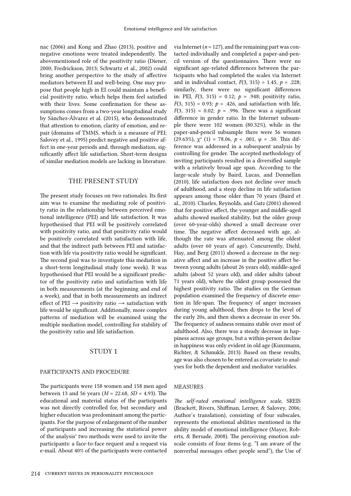nac (2006) and Kong and Zhao (2013), positive and negative emotions were treated independently. The abovementioned role of the positivity ratio (Diener, 2000; Fredrickson, 2013; Schwartz et al., 2002) could bring another perspective to the study of affective mediators between EI and well-being. One may propose that people high in EI could maintain a beneficial positivity ratio, which helps them feel satisfied with their lives. Some confirmation for these assumptions comes from a two-year longitudinal study by Sánchez-Álvarez et al. (2015), who demonstrated that attention to emotion, clarity of emotion, and repair (domains of TMMS, which is a measure of PEI; Salovey et al., 1995) predict negative and positive affect in one-year periods and, through mediation, significantly affect life satisfaction. Short-term designs of similar mediation models are lacking in literature.

## *The present study*

The present study focuses on two rationales. Its first aim was to examine the mediating role of positivity ratio in the relationship between perceived emotional intelligence (PEI) and life satisfaction. It was hypothesised that PEI will be positively correlated with positivity ratio, and that positivity ratio would be positively correlated with satisfaction with life, and that the indirect path between PEI and satisfaction with life via positivity ratio would be significant. The second goal was to investigate this mediation in a short-term longitudinal study (one week). It was hypothesised that PEI would be a significant predictor of the positivity ratio and satisfaction with life in both measurements (at the beginning and end of a week), and that in both measurements an indirect effect of PEI  $\rightarrow$  positivity ratio  $\rightarrow$  satisfaction with life would be significant. Additionally, more complex patterns of mediation will be examined using the multiple mediation model, controlling for stability of the positivity ratio and life satisfaction.

## *Study 1*

## *Participants and procedure*

The participants were 158 women and 158 men aged between 13 and 56 years (*M* = 22.68, *SD* = 4.93). The educational and material status of the participants was not directly controlled for, but secondary and higher education was predominant among the participants. For the purpose of enlargement of the number of participants and increasing the statistical power of the analysis<sup>1</sup> two methods were used to invite the participants: a face-to-face request and a request via e-mail. About 40% of the participants were contacted

tacted individually and completed a paper-and-pencil version of the questionnaires. There were no significant age-related differences between the participants who had completed the scales via Internet and in individual contact, *F*(3, 315) = 1.45, *p* = .228; similarly, there were no significant differences in: PEI,  $F(3, 315) = 0.12$ ;  $p = .948$ ; positivity ratio, *F*(3, 315) = 0.93;  $p = .426$ , and satisfaction with life, *F*(3, 315) = 0.02;  $p = .996$ . There was a significant difference in gender ratio. In the Internet subsample there were 102 women (80.32%), while in the paper-and-pencil subsample there were 56 women (29.63%),  $\chi^2$  (1) = 78.06,  $p < .001$ ,  $\varphi = .50$ . This difference was addressed in a subsequent analysis by controlling for gender. The accepted methodology of inviting participants resulted in a diversified sample with a relatively broad age span. According to the large-scale study by Baird, Lucas, and Donnellan (2010), life satisfaction does not decline over much of adulthood, and a steep decline in life satisfaction appears among those older than 70 years (Baird et al., 2010). Charles, Reynolds, and Gatz (2001) showed that for positive affect, the younger and middle-aged adults showed marked stability, but the older group (over 60-year-olds) showed a small decrease over time. The negative affect decreased with age, although the rate was attenuated among the oldest adults (over 60 years of age). Concurrently, Diehl, Hay, and Berg (2011) showed a decrease in the negative affect and an increase in the positive affect between young adults (about 26 years old), middle-aged adults (about 52 years old), and older adults (about 71 years old), where the oldest group possessed the highest positivity ratio. The studies on the German population examined the frequency of discrete emotion in life-span. The frequency of anger increases during young adulthood, then drops to the level of the early 20s, and then shows a decrease in over 50s. The frequency of sadness remains stable over most of adulthood. Also, there was a steady decrease in happiness across age groups, but a within-person decline in happiness was only evident in old age (Kunzmann, Richter, & Schmukle, 2013). Based on these results, age was also chosen to be entered as covariate to analyses for both the dependent and mediator variables.

via Internet ( $n = 127$ ), and the remaining part was con-

## *Measures*

*The self-rated emotional intelligence scale*, SREIS (Brackett, Rivers, Shiffman, Lerner, & Salovey, 2006; Author's translation), consisting of four subscales, represents the emotional abilities mentioned in the ability model of emotional intelligence (Mayer, Roberts, & Bersade, 2008). The perceiving emotion subscale consists of four items (e.g. "I am aware of the nonverbal messages other people send"), the Use of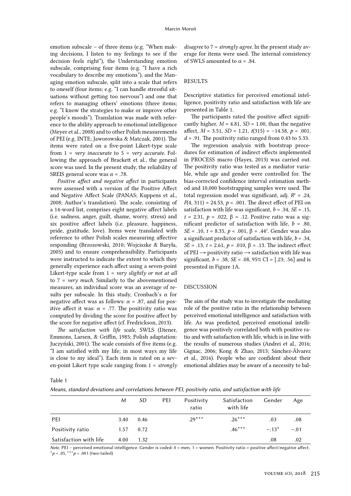emotion subscale – of three items (e.g. "When making decisions, I listen to my feelings to see if the decision feels right"), the Understanding emotion subscale, comprising four items (e.g. "I have a rich vocabulary to describe my emotions"), and the Managing emotion subscale, split into a scale that refers to oneself (four items; e.g. "I can handle stressful situations without getting too nervous") and one that refers to managing others' emotions (three items; e.g. "I know the strategies to make or improve other people's moods"). Translation was made with reference to the ability approach to emotional intelligence (Meyer et al., 2008) and to other Polish measurements of PEI (e.g. INTE; Jaworowska & Matczak, 2001). The items were rated on a five-point Likert-type scale from 1 = *very inaccurate* to 5 = *very accurate*. Following the approach of Brackett et al., the general score was used. In the present study, the reliability of SREIS general score was  $\alpha$  = .78.

*Positive affect and negative affect* in participants were assessed with a version of the Positive Affect and Negative Affect Scale (PANAS; Kuppens et al., 2008; Author's translation). The scale, consisting of a 14-word list, comprises eight negative affect labels (i.e. sadness, anger, guilt, shame, worry, stress) and six positive affect labels (i.e. pleasure, happiness, pride, gratitude, love). Items were translated with reference to other Polish scales measuring affective responding (Brzozowski, 2010; Wojciszke & Baryła, 2005) and to ensure comprehensibility. Participants were instructed to indicate the extent to which they generally experience each affect using a seven-point Likert-type scale from 1 = *very slightly or not at all* to 7 = *very much*. Similarly to the abovementioned measures, an individual score was an average of results per subscale. In this study, Cronbach's  $\alpha$  for negative affect was as follows:  $\alpha$  = .87, and for positive affect it was:  $\alpha$  = .77. The positivity ratio was computed by dividing the score for positive affect by the score for negative affect (cf. Fredrickson, 2013).

*The satisfaction with life scale*, SWLS (Diener, Emmons, Larsen, & Griffin, 1985; Polish adaptation: Juczyński, 2001). The scale consists of five items (e.g. "I am satisfied with my life; in most ways my life is close to my ideal"). Each item is rated on a seven-point Likert type scale ranging from 1 = *strongly* 

*disagree* to 7 = *strongly agree*. In the present study average for items were used. The internal consistency of SWLS amounted to  $\alpha$  = .84.

## *Results*

Descriptive statistics for perceived emotional intelligence, positivity ratio and satisfaction with life are presented in Table 1.

The participants rated the positive affect significantly higher,  $M = 4.81$ ,  $SD = 1.00$ , than the negative affect, *M* = 3.51, *SD* = 1.21, *t*(315) = –14.58, *p* < .001,  $d = .91$ . The positivity ratio ranged from 0.43 to 5.33.

The regression analysis with bootstrap procedures for estimation of indirect effects implemented in PROCESS macro (Hayes, 2013) was carried out. The positivity ratio was tested as a mediator variable, while age and gender were controlled for. The bias-corrected confidence interval estimation method and 10,000 bootstrapping samples were used. The total regression model was significant, adj.  $R^2 = .24$ , *F*(4, 311) = 24.53, *p* < .001. The direct effect of PEI on satisfaction with life was significant,  $b = .34$ ,  $SE = .15$ , *t* = 2.31, *p* = .022, β = .12. Positive ratio was a significant predictor of satisfaction with life,  $b = .80$ , *SE* = .10, *t* = 8.35, *p* < .001, β = .44<sup>2</sup>. Gender was also a significant predictor of satisfaction with life, *b* = .34, *SE* = .13, *t* = 2.61, *p* = .010, β = .13. The indirect effect of PEI  $\rightarrow$  positivity ratio  $\rightarrow$  satisfaction with life was significant, *b* = .38, *SE* = .08, 95% CI = [.23; .56] and is presented in Figure 1A.

### *Discussion*

The aim of the study was to investigate the mediating role of the positive ratio in the relationship between perceived emotional intelligence and satisfaction with life. As was predicted, perceived emotional intelligence was positively correlated both with positive ratio and with satisfaction with life, which is in line with the results of numerous studies (Andrei et al., 2016; Gignac, 2006; Kong & Zhao, 2013; Sánchez-Álvarez et al., 2016). People who are confident about their emotional abilities may be aware of a necessity to bal-

Table 1

*Means, standard deviations and correlations between PEI, positivity ratio, and satisfaction with life*

|                        | M    | SD.  | PEI | Positivity<br>ratio | Satisfaction<br>with life | Gender  | Age    |
|------------------------|------|------|-----|---------------------|---------------------------|---------|--------|
| PEI                    | 3.40 | 0.46 |     | $.29***$            | $.26***$                  | .03     | .08    |
| Positivity ratio       | 1.57 | 0.72 |     |                     | $.46***$                  | $-.13*$ | $-.01$ |
| Satisfaction with life | 4.00 | 1.32 |     |                     |                           | .08     | .02    |

*Note*. PEI – perceived emotional intelligence. Gender is coded: 0 = men, 1 = women. Positivity ratio = positive affect/negative affect. \**p* < .05, \*\*\**p* < .001 (two-tailed)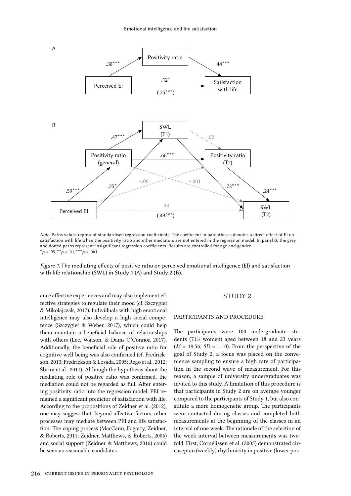

*Note*. Paths values represent standardised regression coefficients. The coefficient in parentheses denotes a direct effect of EI on satisfaction with life when the positivity ratio and other mediators are not entered in the regression model. In panel B, the grey and dotted paths represent insignificant regression coefficients. Results are controlled for age and gender. \**p* < .05, \*\**p* < .01, \*\*\**p* < .001

*Figure 1*. The mediating effects of positive ratio on perceived emotional intelligence (El) and satisfaction with life relationship (SWL) in Study 1 (A) and Study 2 (B).

ance affective experiences and may also implement effective strategies to regulate their mood (cf. Szczygieł & Mikolajczak, 2017). Individuals with high emotional intelligence may also develop a high social competence (Szczygieł & Weber, 2017), which could help them maintain a beneficial balance of relationships with others (Lee, Watson, & Dams-O'Connor, 2017). Additionally, the beneficial role of positive ratio for cognitive well-being was also confirmed (cf. Fredrickson, 2013; Fredrickson & Losada, 2005; Rego et al., 2012; Shrira et al., 2011). Although the hypothesis about the mediating role of positive ratio was confirmed, the mediation could not be regarded as full. After entering positivity ratio into the regression model, PEI remained a significant predictor of satisfaction with life. According to the propositions of Zeidner et al. (2012), one may suggest that, beyond affective factors, other processes may mediate between PEI and life satisfaction. The coping process (MacCann, Fogarty, Zeidner, & Roberts, 2011; Zeidner, Matthews, & Roberts, 2006) and social support (Zeidner & Matthews, 2016) could be seen as reasonable candidates.

#### *Study 2*

#### *Participants and procedure*

The participants were 100 undergraduate students (71% women) aged between 18 and 23 years  $(M = 19.56, SD = 1.10)$ . From the perspective of the goal of Study 2, a focus was placed on the convenience sampling to ensure a high rate of participation in the second wave of measurement. For this reason, a sample of university undergraduates was invited to this study. A limitation of this procedure is that participants in Study 2 are on average younger compared to the participants of Study 1, but also constitute a more homogenetic group. The participants were contacted during classes and completed both measurements at the beginning of the classes in an interval of one week. The rationale of the selection of the week interval between measurements was twofold. First, Cornélissen et al. (2005) demonstrated circaseptan (weekly) rhythmicity in positive (lower pos-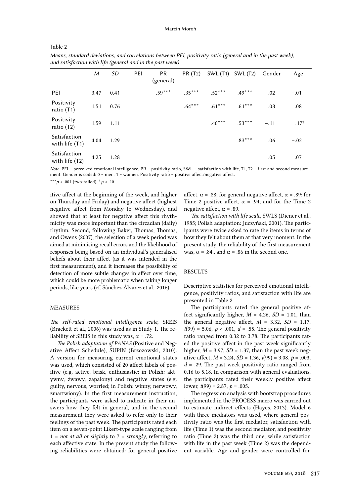| ,,<br>я | ŧ |  |
|---------|---|--|
|---------|---|--|

|                                | M    | <b>SD</b> | PEI | PR<br>(general) | PR (T2)  | SWL(T1)  | SWL (T2) | Gender | Age             |
|--------------------------------|------|-----------|-----|-----------------|----------|----------|----------|--------|-----------------|
| PEI                            | 3.47 | 0.41      |     | $.59***$        | $.35***$ | $.52***$ | $.49***$ | .02    | $-.01$          |
| Positivity<br>ratio (T1)       | 1.51 | 0.76      |     |                 | $.64***$ | $.61***$ | $.61***$ | .03    | .08             |
| Positivity<br>ratio (T2)       | 1.59 | 1.11      |     |                 |          | $.40***$ | $.53***$ | $-.11$ | $.17^{\dagger}$ |
| Satisfaction<br>with life (T1) | 4.04 | 1.29      |     |                 |          |          | $.83***$ | .06    | $-.02$          |
| Satisfaction<br>with life (T2) | 4.25 | 1.28      |     |                 |          |          |          | .05    | .07             |

*Means, standard deviations, and correlations between PEI, positivity ratio (general and in the past week), and satisfaction with life (general and in the past week)*

*Note*. PEI – perceived emotional intelligence, PR – positivity ratio, SWL – satisfaction with life, T1, T2 – first and second measurement. Gender is coded:  $0 =$  men,  $1 =$  women. Positivity ratio = positive affect/negative affect.

\*\*\**p* < .001 (two-tailed), † *p* < .10

itive affect at the beginning of the week, and higher on Thursday and Friday) and negative affect (highest negative affect from Monday to Wednesday), and showed that at least for negative affect this rhythmicity was more important than the circadian (daily) rhythm. Second, following Baker, Thomas, Thomas, and Owens (2007), the selection of a week period was aimed at minimising recall errors and the likelihood of responses being based on an individual's generalised beliefs about their affect (as it was intended in the first measurement), and it increases the possibility of detection of more subtle changes in affect over time, which could be more problematic when taking longer periods, like years (cf. Sánchez-Álvarez et al., 2016).

## *Measures*

*The self-rated emotional intelligence scale*, SREIS (Brackett et al., 2006) was used as in Study 1. The reliability of SREIS in this study was,  $\alpha$  = .72.

*The Polish adaptation of PANAS* (Positive and Negative Affect Schedule), SUPIN (Brzozowski, 2010). A version for measuring current emotional states was used, which consisted of 20 affect labels of positive (e.g. active, brisk, enthusiastic; in Polish: aktywny, żwawy, zapalony) and negative states (e.g. guilty, nervous, worried; in Polish: winny, nerwowy, zmartwiony). In the first measurement instruction, the participants were asked to indicate in their answers how they felt in general, and in the second measurement they were asked to refer only to their feelings of the past week. The participants rated each item on a seven-point Likert-type scale ranging from 1 = *not at all or slightly* to 7 = *strongly*, referring to each affective state. In the present study the following reliabilities were obtained: for general positive affect,  $\alpha$  = .88; for general negative affect,  $\alpha$  = .89; for Time 2 positive affect,  $\alpha$  = .94; and for the Time 2 negative affect,  $\alpha$  = .89.

*The satisfaction with life scale*, SWLS (Diener et al., 1985; Polish adaptation: Juczyński, 2001). The participants were twice asked to rate the items in terms of how they felt about them at that very moment. In the present study, the reliability of the first measurement was,  $\alpha$  = .84., and  $\alpha$  = .86 in the second one.

### *Results*

Descriptive statistics for perceived emotional intelligence, positivity ratios, and satisfaction with life are presented in Table 2.

The participants rated the general positive affect significantly higher,  $M = 4.26$ ,  $SD = 1.01$ , than the general negative affect,  $M = 3.32$ ,  $SD = 1.17$ ,  $t(99) = 5.06, p < .001, d = .55$ . The general positivity ratio ranged from 0.32 to 3.78. The participants rated the positive affect in the past week significantly higher,  $M = 3.97$ ,  $SD = 1.37$ , than the past week negative affect, *M* = 3.24, *SD* = 1.36, *t*(99) = 3.08, *p* = .003, *d* = .29. The past week positivity ratio ranged from 0.16 to 5.18. In comparison with general evaluations, the participants rated their weekly positive affect lower,  $t(99) = 2.87$ ,  $p = .005$ .

The regression analysis with bootstrap procedures implemented in the PROCESS macro was carried out to estimate indirect effects (Hayes, 2013). Model 6 with three mediators was used, where general positivity ratio was the first mediator, satisfaction with life (Time 1) was the second mediator, and positivity ratio (Time 2) was the third one, while satisfaction with life in the past week (Time 2) was the dependent variable. Age and gender were controlled for.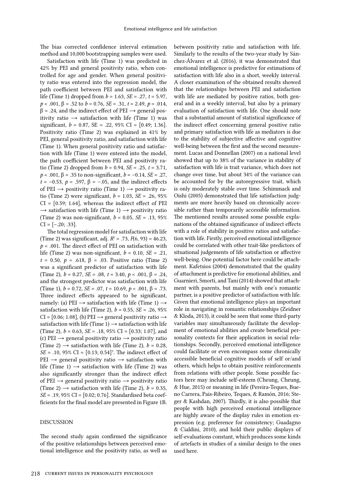The bias corrected confidence interval estimation method and 10,000 bootstrapping samples were used.

Satisfaction with life (Time 1) was predicted in 42% by PEI and general positivity ratio, when controlled for age and gender. When general positivity ratio was entered into the regression model, the path coefficient between PEI and satisfaction with life (Time 1) dropped from *b* = 1.63, *SE* = .27, *t* = 5.97,  $p < .001$ ,  $\beta = .52$  to  $b = 0.76$ ,  $SE = .31$ ,  $t = 2.49$ ,  $p = .014$ ,  $β = .24$ , and the indirect effect of PEI  $\rightarrow$  general positivity ratio  $\rightarrow$  satisfaction with life (Time 1) was significant, *b* = 0.87, SE = .22, 95% CI = [0.49; 1.36]. Positivity ratio (Time 2) was explained in 41% by PEI, general positivity ratio, and satisfaction with life (Time 1). When general positivity ratio and satisfaction with life (Time 1) were entered into the model, the path coefficient between PEI and positivity ratio (Time 2) dropped from *b* = 0.94, *SE* = .25, *t* = 3.71, *p* < .001, β = .35 to non-significant, *b* = –0.14, *SE* = .27,  $t = -0.53$ ,  $p = .597$ ,  $\beta = -.05$ , and the indirect effects of PEI  $\rightarrow$  positivity ratio (Time 1)  $\rightarrow$  positivity ratio (Time 2) were significant, *b* = 1.03, *SE* = .26, 95%  $CI = [0.59; 1.64]$ , whereas the indirect effect of PEI  $\rightarrow$  satisfaction with life (Time 1)  $\rightarrow$  positivity ratio (Time 2) was non-significant,  $b = 0.05$ ,  $SE = .13$ ,  $95\%$  $CI = [-.20; .33].$ 

The total regression model for satisfaction with life (Time 2) was significant, adj. *R*<sup>2</sup> = .73, *F*(6, 93) = 46.23, *p* < .001. The direct effect of PEI on satisfaction with life (Time 2) was non-significant, *b* = 0.10, *SE* = .21, *t* = 0.50, *p* = .618,  $\beta$  = .03. Positive ratio (Time 2) was a significant predictor of satisfaction with life (Time 2),  $b = 0.27$ ,  $SE = .08$ ,  $t = 3.40$ ,  $p < .001$ ,  $\beta = .24$ , and the strongest predictor was satisfaction with life (Time 1),  $b = 0.72$ ,  $SE = .07$ ,  $t = 10.69$ ,  $p < .001$ ,  $\beta = .73$ . Three indirect effects appeared to be significant, namely: (a) PEI  $\rightarrow$  satisfaction with life (Time 1)  $\rightarrow$ satisfaction with life (Time 2),  $b = 0.55$ ,  $SE = .26$ ,  $95\%$ CI =  $[0.06; 1.08]$ , (b) PEI  $\rightarrow$  general positivity ratio  $\rightarrow$ satisfaction with life (Time 1)  $\rightarrow$  satisfaction with life (Time 2), *b* = 0.63, *SE* = .18, 95% CI = [0.33; 1.07], and (c) PEI  $\rightarrow$  general positivity ratio  $\rightarrow$  positivity ratio (Time 2)  $\rightarrow$  satisfaction with life (Time 2),  $b = 0.28$ ,  $SE = .10, 95\% \text{ CI} = [0.13; 0.54]^3$ . The indirect effect of  $PEI \rightarrow$  general positivity ratio  $\rightarrow$  satisfaction with life (Time 1)  $\rightarrow$  satisfaction with life (Time 2) was also significantly stronger than the indirect effect of PEI  $\rightarrow$  general positivity ratio  $\rightarrow$  positivity ratio (Time 2)  $\rightarrow$  satisfaction with life (Time 2),  $b = 0.35$ , *SE* = .19, 95% CI = [0.02; 0.76]. Standardised beta coefficients for the final model are presented in Figure 1B.

## *Discussion*

The second study again confirmed the significance of the positive relationships between perceived emotional intelligence and the positivity ratio, as well as

between positivity ratio and satisfaction with life. Similarly to the results of the two-year study by Sánchez-Álvarez et al. (2016), it was demonstrated that emotional intelligence is predictive for estimations of satisfaction with life also in a short, weekly interval. A closer examination of the obtained results showed that the relationships between PEI and satisfaction with life are mediated by positive ratios, both general and in a weekly interval, but also by a primary evaluation of satisfaction with life. One should note that a substantial amount of statistical significance of the indirect effect concerning general positive ratio and primary satisfaction with life as mediators is due to the stability of subjective affective and cognitive well-being between the first and the second measurement. Lucas and Donnellan (2007) on a national level showed that up to 38% of the variance in stability of satisfaction with life is trait variance, which does not change over time, but about 34% of the variance can be accounted for by the autoregressive trait, which is only moderately stable over time. Schimmack and Oishi (2005) demonstrated that life satisfaction judgments are more heavily based on chronically accessible rather than temporarily accessible information. The mentioned results aroused some possible explanations of the obtained significance of indirect effects with a role of stability in positive ratios and satisfaction with life. Firstly, perceived emotional intelligence could be correlated with other trait-like predictors of situational judgements of life satisfaction or affective well-being. One potential factor here could be attachment. Kafetsios (2004) demonstrated that the quality of attachment is predictive for emotional abilities, and Guarnieri, Smorti, and Tani (2014) showed that attachment with parents, but mainly with one's romantic partner, is a positive predictor of satisfaction with life. Given that emotional intelligence plays an important role in navigating in romantic relationships (Zeidner & Kloda, 2013), it could be seen that some third-party variables may simultaneously facilitate the development of emotional abilities and create beneficial personality contexts for their application in social relationships. Secondly, perceived emotional intelligence could facilitate or even encompass some chronically accessible beneficial cognitive models of self or/and others, which helps to obtain positive reinforcements from relations with other people. Some possible factors here may include self-esteem (Cheung, Cheung, & Hue, 2015) or meaning in life (Pereira-Teques, Bueno Carrera, Pais-Ribeiro, Teques, & Ramón, 2016; Steger & Kashdan, 2007). Thirdly, it is also possible that people with high perceived emotional intelligence are highly aware of the display rules in emotion expression (e.g. preference for consistency; Guadagno & Cialdini, 2010), and hold their public displays of self-evaluations constant, which produces some kinds of artefacts in studies of a similar design to the ones used here.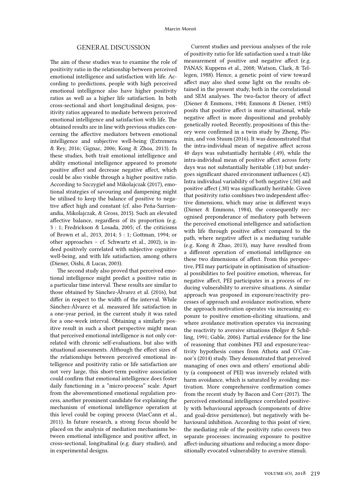## *General discussion*

The aim of these studies was to examine the role of positivity ratio in the relationship between perceived emotional intelligence and satisfaction with life. According to predictions, people with high perceived emotional intelligence also have higher positivity ratios as well as a higher life satisfaction. In both cross-sectional and short longitudinal designs, positivity ratios appeared to mediate between perceived emotional intelligence and satisfaction with life. The obtained results are in line with previous studies concerning the affective mediators between emotional intelligence and subjective well-being (Extremera & Rey, 2016; Gignac, 2006; Kong & Zhoa, 2013). In these studies, both trait emotional intelligence and ability emotional intelligence appeared to promote positive affect and decrease negative affect, which could be also visible through a higher positive ratio. According to Szczygieł and Mikolajczak (2017), emotional strategies of savouring and dampening might be utilised to keep the balance of positive to negative affect high and constant (cf. also Peña-Sarrionandia, Mikolajczak, & Gross, 2015). Such an elevated affective balance, regardless of its proportion (e.g. 3 : 1; Fredrickson & Losada, 2005; cf. the criticisms of Brown et al., 2013, 2014; 5 : 1; Gottman, 1994; or other approaches – cf. Schwartz et al., 2002), is indeed positively correlated with subjective cognitive well-being, and with life satisfaction, among others (Diener, Oishi, & Lucas, 2003).

The second study also proved that perceived emotional intelligence might predict a positive ratio in a particular time interval. These results are similar to those obtained by Sánchez-Álvarez et al. (2016), but differ in respect to the width of the interval. While Sánchez-Álvarez et al. measured life satisfaction in a one-year period, in the current study it was rated for a one-week interval. Obtaining a similarly positive result in such a short perspective might mean that perceived emotional intelligence is not only correlated with chronic self-evaluations, but also with situational assessments. Although the effect sizes of the relationships between perceived emotional intelligence and positivity ratio or life satisfaction are not very large, this short-term positive association could confirm that emotional intelligence does foster daily functioning in a "micro-process" scale. Apart from the abovementioned emotional regulation process, another prominent candidate for explaining the mechanism of emotional intelligence operation at this level could be coping process (MacCann et al., 2011). In future research, a strong focus should be placed on the analysis of mediation mechanisms between emotional intelligence and positive affect, in cross-sectional, longitudinal (e.g. diary studies), and in experimental designs.

Current studies and previous analyses of the role of positivity ratio for life satisfaction used a trait-like measurement of positive and negative affect (e.g. PANAS; Kuppens et al., 2008; Watson, Clark, & Tellegen, 1988). Hence, a genetic point of view toward affect may also shed some light on the results obtained in the present study, both in the correlational and SEM analyses. The two-factor theory of affect (Diener & Emmons, 1984; Emmons & Diener, 1985) posits that positive affect is more situational, while negative affect is more dispositional and probably genetically rooted. Recently, propositions of this theory were confirmed in a twin study by Zheng, Plomin, and von Stuum (2016). It was demonstrated that the intra-individual mean of negative affect across 40 days was substantially heritable (.49), while the intra-individual mean of positive affect across forty days was not substantially heritable (.18) but undergoes significant shared environment influences (.42). Intra individual variability of both negative (.50) and positive affect (.30) was significantly heritable. Given that positivity ratio combines two independent affective dimensions, which may arise in different ways (Diener & Emmons, 1984), the consequently recognised preponderance of mediatory path between the perceived emotional intelligence and satisfaction with life through positive affect compared to the path, where negative affect is a mediating variable (e.g. Kong & Zhao, 2013), may have resulted from a different operation of emotional intelligence on these two dimensions of affect. From this perspective, PEI may participate in optimisation of situational possibilities to feel positive emotion, whereas, for negative affect, PEI participates in a process of reducing vulnerability to aversive situations. A similar approach was proposed in exposure/reactivity processes of approach and avoidance motivation, where the approach motivation operates via increasing exposure to positive emotion-eliciting situations, and where avoidance motivation operates via increasing the reactivity to aversive situations (Bolger & Schilling, 1991; Gable, 2006). Partial evidence for the line of reasoning that combines PEI and exposure/reactivity hypothesis comes from Athota and O'Connor's (2014) study. They demonstrated that perceived managing of ones own and others' emotional ability (a component of PEI) was inversely related with harm avoidance, which is saturated by avoiding motivation. More comprehensive confirmation comes from the recent study by Bacon and Corr (2017). The perceived emotional intelligence correlated positively with behavioural approach (components of drive and goal-drive persistence), but negatively with behavioural inhibition. According to this point of view, the mediating role of the positivity ratio covers two separate processes: increasing exposure to positive affect-inducing situations and reducing a more dispositionally evocated vulnerability to aversive stimuli.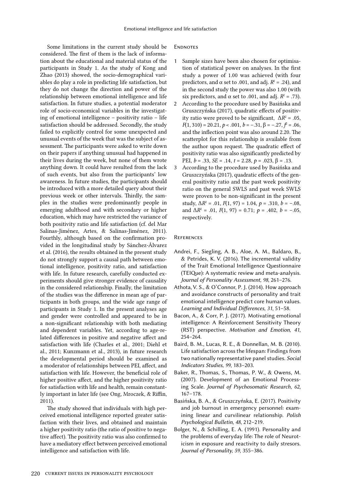Some limitations in the current study should be considered. The first of them is the lack of information about the educational and material status of the participants in Study 1. As the study of Kong and Zhao (2013) showed, the socio-demographical variables do play a role in predicting life satisfaction, but they do not change the direction and power of the relationship between emotional intelligence and life satisfaction. In future studies, a potential moderator role of socio-economical variables in the investigating of emotional intelligence – positivity ratio – life satisfaction should be addressed. Secondly, the study failed to explicitly control for some unexpected and unusual events of the week that was the subject of assessment. The participants were asked to write down on their papers if anything unusual had happened in their lives during the week, but none of them wrote anything down. It could have resulted from the lack of such events, but also from the participants' low awareness. In future studies, the participants should be introduced with a more detailed query about their previous week or other intervals. Thirdly, the samples in the studies were predominantly people in emerging adulthood and with secondary or higher education, which may have restricted the variance of both positivity ratio and life satisfaction (cf. del Mar Salinas-Jiménez, Artes, & Salinas-Jiménez, 2011). Fourthly, although based on the confirmation provided in the longitudinal study by Sánchez-Álvarez et al. (2016), the results obtained in the present study do not strongly support a causal path between emotional intelligence, positivity ratio, and satisfaction with life. In future research, carefully conducted experiments should give stronger evidence of causality in the considered relationship. Finally, the limitation of the studies was the difference in mean age of participants in both groups, and the wide age range of participants in Study 1. In the present analyses age and gender were controlled and appeared to be in a non-significant relationship with both mediating and dependent variables. Yet, according to age-related differences in positive and negative affect and satisfaction with life (Charles et al., 2001; Diehl et al., 2011; Kunzmann et al., 2013), in future research the developmental period should be examined as a moderator of relationships between PEI, affect, and satisfaction with life. However, the beneficial role of higher positive affect, and the higher positivity ratio for satisfaction with life and health, remain constantly important in later life (see Ong, Mroczek, & Riffin, 2011).

The study showed that individuals with high perceived emotional intelligence reported greater satisfaction with their lives, and obtained and maintain a higher positivity ratio (the ratio of positive to negative affect). The positivity ratio was also confirmed to have a mediatory effect between perceived emotional intelligence and satisfaction with life.

### *Endnotes*

- *1* Sample sizes have been also chosen for optimisation of statistical power on analyses. In the first study a power of 1.00 was achieved (with four predictors, and  $\alpha$  set to .001, and adj.  $R^2 = .24$ ), and in the second study the power was also 1.00 (with six predictors, and  $\alpha$  set to .001, and adj.  $R^2 = .73$ ).
- *2* According to the procedure used by Basińska and Gruszczyńska (2017), quadratic effects of positivity ratio were proved to be significant,  $\Delta R^2 = .05$ ,  $F(1, 310) = 20.21, p < .001, b = -.31, \beta = -.27, f^2 = .06,$ and the inflection point was also around 2.20. The scatterplot for this relationship is available from the author upon request. The quadratic effect of positivity ratio was also significantly predicted by PEI,  $b = .33$ , *SE* = .14,  $t = 2.28$ ,  $p = .023$ ,  $β = .13$ .
- *3* According to the procedure used by Basińska and Gruszczyńska (2017), quadratic effects of the general positivity ratio and the past week positivity ratio on the general SWLS and past week SWLS were proven to be non-significant in the present study,  $\Delta R^2 = .01$ ,  $F(1, 97) = 1.04$ ,  $p = .310$ ,  $b = -.08$ , and  $\Delta R^2 = .01$ ,  $F(1, 97) = 0.71$ ;  $p = .402$ ,  $b = -.05$ , respectively.

#### *References*

- Andrei, F., Siegling, A. B., Aloe, A. M., Baldaro, B., & Petrides, K. V. (2016). The incremental validity of the Trait Emotional Intelligence Questionnaire (TEIQue): A systematic review and meta-analysis. *Journal of Personality Assessment, 98*, 261–276.
- Athota, V. S., & O'Connor, P. J. (2014). How approach and avoidance constructs of personality and trait emotional intelligence predict core human values. *Learning and Individual Differences, 31*, 51–58.
- Bacon, A., & Corr, P. J. (2017). Motivating emotional intelligence: A Reinforcement Sensitivity Theory (RST) perspective. *Motivation and Emotion, 41*, 254–264.
- Baird, B. M., Lucas, R. E., & Donnellan, M. B. (2010). Life satisfaction across the lifespan: Findings from two nationally representative panel studies. *Social Indicators Studies, 99*, 183–203.
- Baker, R., Thomas, S., Thomas, P. W., & Owens, M. (2007). Development of an Emotional Processing Scale. *Journal of Psychosomatic Research, 62*, 167–178.
- Basińska, B. A., & Gruszczyńska, E. (2017). Positivity and job burnout in emergency personnel: examining linear and curvilinear relationship. *Polish Psychological Bulletin, 48*, 212–219.
- Bolger, N., & Schilling, E. A. (1991). Personality and the problems of everyday life: The role of Neuroticism in exposure and reactivity to daily stresors. *Journal of Personality, 59*, 355–386.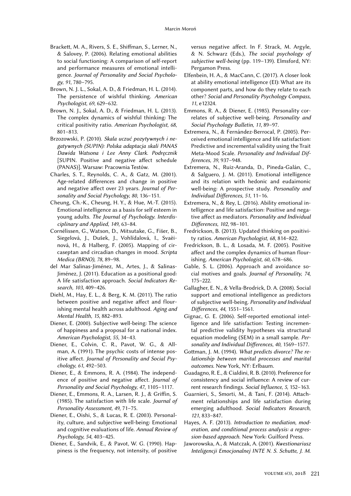- Brackett, M. A., Rivers, S. E., Shiffman, S., Lerner, N., & Salovey, P. (2006). Relating emotional abilities to social functioning: A comparison of self-report and performance measures of emotional intelligence. *Journal of Personality and Social Psychology, 91*, 780–795.
- Brown, N. J. L., Sokal, A. D., & Friedman, H. L. (2014). The persistence of wishful thinking. *American Psychologist, 69*, 629–632.
- Brown, N. J., Sokal, A. D., & Friedman, H. L. (2013). The complex dynamics of wishful thinking: The critical positivity ratio. *American Psychologist, 68*, 801–813.
- Brzozowski, P. (2010). *Skala uczuć pozytywnych i negatywnych (SUPIN): Polska adaptacja skali PANAS Dawida Watsona i Lee Anny Clark. Podręcznik* [SUPIN. Positive and negative affect schedule (PANAS)]. Warsaw: Pracownia Testów.
- Charles, S. T., Reynolds, C. A., & Gatz, M. (2001). Age-related differences and change in positive and negative affect over 23 years. *Journal of Personality and Social Psychology, 80*, 136–151.
- Cheung, Ch.-K., Cheung, H. Y., & Hue, M.-T. (2015). Emotional intelligence as a basis for self esteem in young adults. *The Journal of Psychology. Interdisciplinary and Applied, 149*, 63–84.
- Cornélissen, G., Watson, D., Mitsutake, G., Fišer, B., Siegelová, J., Dušek, J., Vohlídalová, I., Svaèinová, H., & Halberg, F. (2005). Mapping of circaseptan and circadian changes in mood. *Scripta Medica (BRNO), 78*, 89–98.
- del Mar Salinas-Jiménez, M., Artes, J., & Salinas-Jiménez, J. (2011). Education as a positional good: A life satisfaction approach. *Social Indicators Research, 103*, 409–426.
- Diehl, M., Hay, E. L., & Berg, K. M. (2011). The ratio between positive and negative affect and flourishing mental health across adulthood. *Aging and Mental Health, 15*, 882–893.
- Diener, E. (2000). Subjective well-being: The science of happiness and a proposal for a national index. *American Psychologist, 55*, 34–43.
- Diener, E., Colvin, C. R., Pavot, W. G., & Allman, A. (1991). The psychic costs of intense positive affect. *Journal of Personality and Social Psychology, 61*, 492–503.
- Diener, E., & Emmons, R. A. (1984). The independence of positive and negative affect. *Journal of Personality and Social Psychology, 47*, 1105–1117.
- Diener, E., Emmons, R. A., Larsen, R. J., & Griffin, S. (1985). The satisfaction with life scale. *Journal of Personality Assessment, 49*, 71–75.
- Diener, E., Oishi, S., & Lucas, R. E. (2003). Personality, culture, and subjective well-being: Emotional and cognitive evaluations of life. *Annual Review of Psychology, 54*, 403–425.
- Diener, E., Sandvik, E., & Pavot, W. G. (1990). Happiness is the frequency, not intensity, of positive

versus negative affect. In F. Strack, M. Argyle, & N. Schwarz (Eds.), *The social psychology of subjective well-being* (pp. 119–139). Elmsford, NY: Pergamon Press.

- Elfenbein, H. A., & MacCann, C. (2017). A closer look at ability emotional intelligence (EI): What are its component parts, and how do they relate to each other? *Social and Personality Psychology Compass, 11*, e12324.
- Emmons, R. A., & Diener, E. (1985). Personality correlates of subjective well-being. *Personality and Social Psychology Bulletin, 11*, 89–97.
- Extremera, N., & Fernández-Berrocal, P. (2005). Perceived emotional intelligence and life satisfaction: Predictive and incremental validity using the Trait Meta-Mood Scale. *Personality and Individual Differences, 39*, 937–948.
- Extremera, N., Ruiz-Aranda, D., Pineda-Galán, C., & Salguero, J. M. (2011). Emotional intelligence and its relation with hedonic and eudaimonic well-being: A prospective study. *Personality and Individual Differences, 51*, 11–16.
- Extremera, N., & Rey, L. (2016). Ability emotional intelligence and life satisfaction: Positive and negative affect as mediators. *Personality and Individual Differences, 102*, 98–101.
- Fredrickson, B. (2013). Updated thinking on positivity ratios. *American Psychologist, 68*, 814–822.
- Fredrickson, B. L., & Losada, M. F. (2005). Positive affect and the complex dynamics of human flourishing. *American Psychologist, 60*, 678–686.
- Gable, S. L. (2006). Approach and avoidance social motives and goals. *Journal of Personality, 74*, 175–222.
- Gallagher, E. N., & Vella-Brodrick, D. A. (2008). Social support and emotional intelligence as predictors of subjective well-being. *Personality and Individual Differences, 44*, 1551–1561.
- Gignac, G. E. (2006). Self-reported emotional intelligence and life satisfaction: Testing incremental predictive validity hypotheses via structural equation modeling (SEM) in a small sample. *Personality and Individual Differences, 40*, 1569–1577.
- Gottman, J. M. (1994). *What predicts divorce? The relationship between marital processes and marital outcomes*. New York, NY: Erlbaum.
- Guadagno, R. E., & Cialdini, R. B. (2010). Preference for consistency and social influence: A review of current research findings. *Social Influence, 5*, 152–163.
- Guarnieri, S., Smorti, M., & Tani, F. (2014). Attachment relationships and life satisfaction during emerging adulthood. *Social Indicators Research, 121*, 833–847.
- Hayes, A. F. (2013). *Introduction to mediation, moderation, and conditional process analysis: a regression-based approach*. New York: Guilford Press.
- Jaworowska, A., & Matczak, A. (2001). *Kwestionariusz Inteligencji Emocjonalnej INTE N. S. Schutte, J. M.*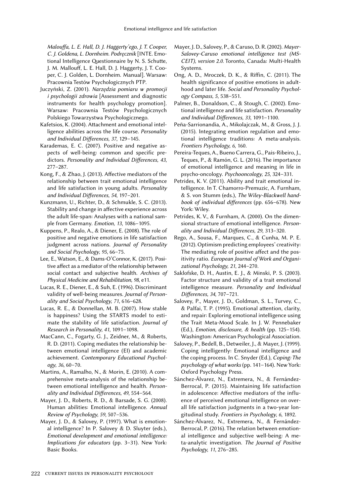*Malouffa, L. E. Hall, D. J. Haggerty'ego, J. T. Cooper, C. J. Goldena, L. Dornheim. Podręcznik* [INTE. Emotional Intelligence Questionnaire by N. S. Schutte, J. M. Mallouff, L. E. Hall, D. J. Haggerty, J. T. Cooper, C. J. Golden, L. Dornheim. Manual]. Warsaw: Pracownia Testów Psychologicznych PTP.

- Juczyński, Z. (2001). *Narzędzia pomiaru w promocji i psychologii zdrowia* [Assessment and diagnostic instruments for health psychology promotion]. Warsaw: Pracownia Testów Psychologicznych Polskiego Towarzystwa Psychologicznego.
- Kafetsios, K. (2004). Attachment and emotional intelligence abilities across the life course. *Personality and Individual Differences, 37*, 129–145.
- Karademas, E. C. (2007). Positive and negative aspects of well-being: common and specific predictors. *Personality and Individual Differences, 43*, 277–287.
- Kong, F., & Zhao, J. (2013). Affective mediators of the relationship between trait emotional intelligence and life satisfaction in young adults. *Personality and Individual Differences, 54*, 197–201.
- Kunzmann, U., Richter, D., & Schmukle, S. C. (2013). Stability and change in affective experience across the adult life-span: Analyses with a national sample from Germany. *Emotion, 13*, 1086–1095.
- Kuppens, P., Realo, A., & Diener, E. (2008). The role of positive and negative emotions in life satisfaction judgment across nations. *Journal of Personality and Social Psychology, 95*, 66–75.
- Lee, E., Watson, E., & Dams-O'Connor, K. (2017). Positive affect as a mediator of the relationship between social contact and subjective health. *Archives of Physical Medicine and Rehabilitation, 98*, e11.
- Lucas, R. E., Diener, E., & Suh, E. (1996). Discriminant validity of well-being measures. *Journal of Personality and Social Psychology, 71*, 616–628.
- Lucas, R. E., & Donnellan, M. B. (2007). How stable is happiness? Using the STARTS model to estimate the stability of life satisfaction. *Journal of Research in Personality, 41*, 1091–1098.
- MacCann, C., Fogarty, G. J., Zeidner, M., & Roberts, R. D. (2011). Coping mediates the relationship between emotional intelligence (EI) and academic achievement. *Contemporary Educational Psychology, 36*, 60–70.
- Martins, A., Ramalho, N., & Morin, E. (2010). A comprehensive meta-analysis of the relationship between emotional intelligence and health. *Personality and Individual Differences, 49*, 554–564.
- Mayer, J. D., Roberts, R. D., & Barsade, S. G. (2008). Human abilities: Emotional intelligence. *Annual Review of Psychology, 59*, 507–536.
- Mayer, J. D., & Salovey, P. (1997). What is emotional intelligence? In P. Salovey & D. Sluyter (eds.), *Emotional development and emotional intelligence: Implications for educators* (pp. 3–31). New York: Basic Books.
- Mayer, J. D., Salovey, P., & Caruso, D. R. (2002). *Mayer-Salovey-Caruso emotional intelligence test (MS-CEIT), version 2.0*. Toronto, Canada: Multi-Health Systems.
- Ong, A. D., Mroczek, D. K., & Riffin, C. (2011). The health significance of positive emotions in adulthood and later life. *Social and Personality Psychology Compass, 5*, 538–551.
- Palmer, B., Donaldson, C., & Stough, C. (2002). Emotional intelligence and life satisfaction. *Personality and Individual Differences, 33*, 1091–1100.
- Peña-Sarrionandia, A., Mikolajczak, M., & Gross, J. J. (2015). Integrating emotion regulation and emotional intelligence traditions: A meta-analysis. *Frontiers Psychology, 6*, 160.
- Pereira-Teques, A., Bueno Carrera, G., Pais-Ribeiro, J., Teques, P., & Ramón, G. L. (2016). The importance of emotional intelligence and meaning in life in psycho-oncology. *Psychooncology, 25*, 324–331.
- Petrides, K. V. (2011). Ability and trait emotional intelligence. In T. Chamorro-Premuzic, A. Furnham, & S. von Stumm (eds.), *The Wiley-Blackwell handbook of individual differences* (pp. 656–678). New York: Wiley.
- Petrides, K. V., & Furnham, A. (2000). On the dimensional structure of emotional intelligence. *Personality and Individual Differences, 29*, 313–320.
- Rego, A., Sousa, F., Marques, C., & Cunha, M. P. E. (2012). Optimism predicting employees' creativity: The mediating role of positive affect and the positivity ratio. *European Journal of Work and Organizational Psychology, 21*, 244–270.
- Saklofske, D. H., Austin, E. J., & Minski, P. S. (2003). Factor structure and validity of a trait emotional intelligence measure. *Personality and Individual Differences, 34*, 707–721.
- Salovey, P., Mayer, J. D., Goldman, S. L., Turvey, C., & Palfai, T. P. (1995). Emotional attention, clarity, and repair: Exploring emotional intelligence using the Trait Meta-Mood Scale. In J. W. Pennebaker (Ed.), *Emotion, disclosure, & health* (pp. 125–154). Washington: American Psychological Association.
- Salovey, P., Bedell, B., Detweiler, J., & Mayer, J. (1999). Coping intelligently: Emotional intelligence and the coping process. In C. Snyder (Ed.), *Coping: The psychology of what works* (pp. 141–164). New York: Oxford Psychology Press.
- Sánchez-Álvarez, N., Extremera, N., & Fernández-Berrocal, P. (2015). Maintaining life satisfaction in adolescence: Affective mediators of the influence of perceived emotional intelligence on overall life satisfaction judgments in a two-year longitudinal study. *Frontiers in Psychology, 6*, 1892.
- Sánchez-Álvarez, N., Extremera, N., & Fernández-Berrocal, P. (2016). The relation between emotional intelligence and subjective well-being: A meta-analytic investigation. *The Journal of Positive Psychology, 11*, 276–285.